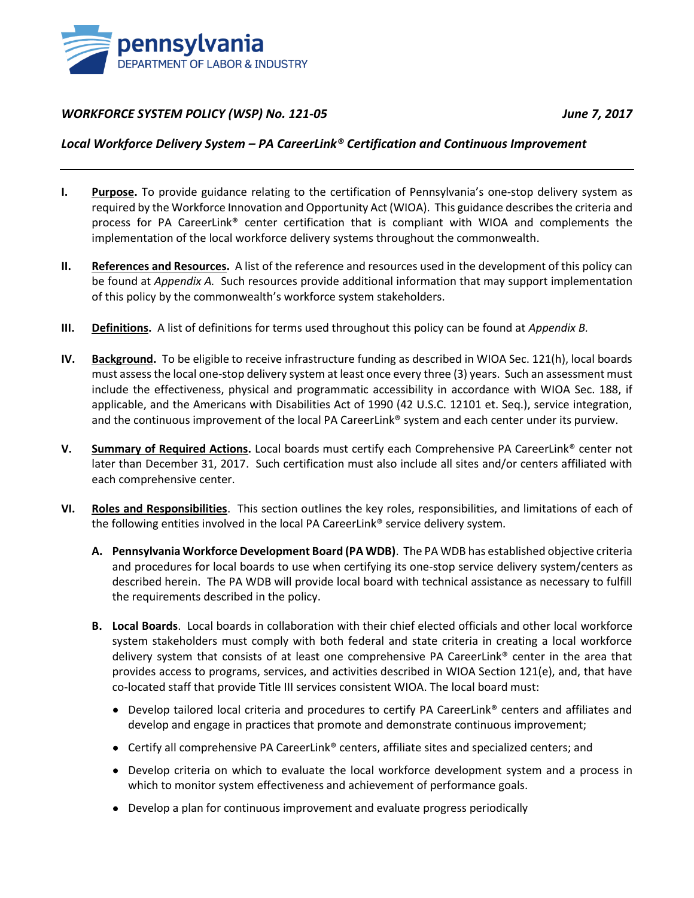

#### *WORKFORCE SYSTEM POLICY (WSP) No. 121-05 June 7, 2017*

#### *Local Workforce Delivery System – PA CareerLink® Certification and Continuous Improvement*

- **I. Purpose.** To provide guidance relating to the certification of Pennsylvania's one-stop delivery system as required by the Workforce Innovation and Opportunity Act (WIOA). This guidance describes the criteria and process for PA CareerLink® center certification that is compliant with WIOA and complements the implementation of the local workforce delivery systems throughout the commonwealth.
- **II. References and Resources.** A list of the reference and resources used in the development of this policy can be found at *[Appendix A.](#page-3-0)* Such resources provide additional information that may support implementation of this policy by the commonwealth's workforce system stakeholders.
- **III. Definitions.** A list of definitions for terms used throughout this policy can be found at *Appendix B.*
- **IV. Background.** To be eligible to receive infrastructure funding as described in WIOA Sec. 121(h), local boards must assess the local one-stop delivery system at least once every three (3) years. Such an assessment must include the effectiveness, physical and programmatic accessibility in accordance with WIOA Sec. 188, if applicable, and the Americans with Disabilities Act of 1990 (42 U.S.C. 12101 et. Seq.), service integration, and the continuous improvement of the local PA CareerLink® system and each center under its purview.
- **V. Summary of Required Actions.** Local boards must certify each Comprehensive PA CareerLink® center not later than December 31, 2017. Such certification must also include all sites and/or centers affiliated with each comprehensive center.
- **VI. Roles and Responsibilities**. This section outlines the key roles, responsibilities, and limitations of each of the following entities involved in the local PA CareerLink® service delivery system.
	- **A. Pennsylvania Workforce Development Board (PA WDB)**. The PA WDB has established objective criteria and procedures for local boards to use when certifying its one-stop service delivery system/centers as described herein. The PA WDB will provide local board with technical assistance as necessary to fulfill the requirements described in the policy.
	- **B. Local Boards**. Local boards in collaboration with their chief elected officials and other local workforce system stakeholders must comply with both federal and state criteria in creating a local workforce delivery system that consists of at least one comprehensive PA CareerLink® center in the area that provides access to programs, services, and activities described in WIOA Section 121(e), and, that have co-located staff that provide Title III services consistent WIOA. The local board must:
		- Develop tailored local criteria and procedures to certify PA CareerLink<sup>®</sup> centers and affiliates and develop and engage in practices that promote and demonstrate continuous improvement;
		- Certify all comprehensive PA CareerLink® centers, affiliate sites and specialized centers; and
		- Develop criteria on which to evaluate the local workforce development system and a process in which to monitor system effectiveness and achievement of performance goals.
		- Develop a plan for continuous improvement and evaluate progress periodically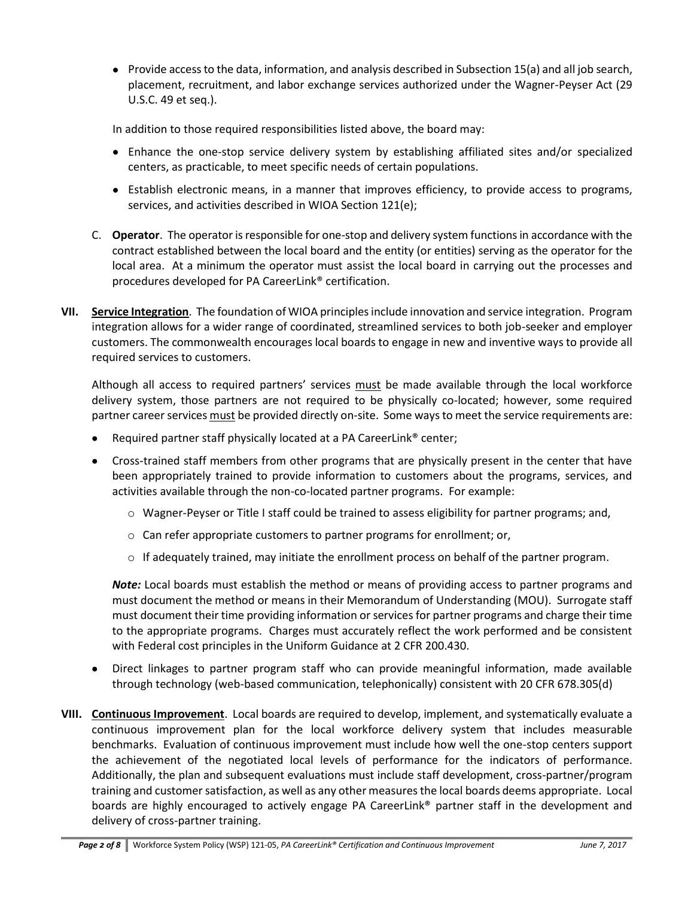• Provide access to the data, information, and analysis described in Subsection 15(a) and all job search, placement, recruitment, and labor exchange services authorized under the Wagner-Peyser Act (29 U.S.C. 49 et seq.).

In addition to those required responsibilities listed above, the board may:

- Enhance the one-stop service delivery system by establishing affiliated sites and/or specialized centers, as practicable, to meet specific needs of certain populations.
- Establish electronic means, in a manner that improves efficiency, to provide access to programs, services, and activities described in WIOA Section 121(e);
- C. **Operator**. The operator is responsible for one-stop and delivery system functions in accordance with the contract established between the local board and the entity (or entities) serving as the operator for the local area. At a minimum the operator must assist the local board in carrying out the processes and procedures developed for PA CareerLink® certification.
- **VII. Service Integration**. The foundation of WIOA principles include innovation and service integration. Program integration allows for a wider range of coordinated, streamlined services to both job-seeker and employer customers. The commonwealth encourages local boards to engage in new and inventive ways to provide all required services to customers.

Although all access to required partners' services must be made available through the local workforce delivery system, those partners are not required to be physically co-located; however, some required partner career services must be provided directly on-site. Some ways to meet the service requirements are:

- Required partner staff physically located at a PA CareerLink® center;
- Cross-trained staff members from other programs that are physically present in the center that have been appropriately trained to provide information to customers about the programs, services, and activities available through the non-co-located partner programs. For example:
	- $\circ$  Wagner-Peyser or Title I staff could be trained to assess eligibility for partner programs; and,
	- o Can refer appropriate customers to partner programs for enrollment; or,
	- $\circ$  If adequately trained, may initiate the enrollment process on behalf of the partner program.

*Note:* Local boards must establish the method or means of providing access to partner programs and must document the method or means in their Memorandum of Understanding (MOU). Surrogate staff must document their time providing information or services for partner programs and charge their time to the appropriate programs. Charges must accurately reflect the work performed and be consistent with Federal cost principles in the Uniform Guidance at 2 CFR 200.430.

- Direct linkages to partner program staff who can provide meaningful information, made available through technology (web-based communication, telephonically) consistent with 20 CFR 678.305(d)
- **VIII. Continuous Improvement**. Local boards are required to develop, implement, and systematically evaluate a continuous improvement plan for the local workforce delivery system that includes measurable benchmarks. Evaluation of continuous improvement must include how well the one-stop centers support the achievement of the negotiated local levels of performance for the indicators of performance. Additionally, the plan and subsequent evaluations must include staff development, cross-partner/program training and customer satisfaction, as well as any other measures the local boards deems appropriate. Local boards are highly encouraged to actively engage PA CareerLink® partner staff in the development and delivery of cross-partner training.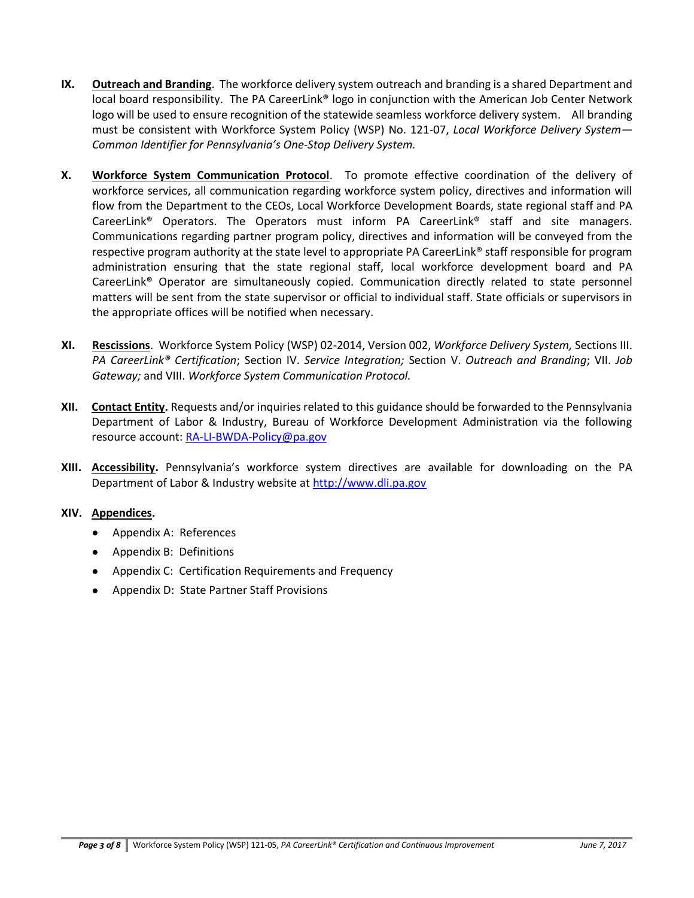- **IX. Outreach and Branding**. The workforce delivery system outreach and branding is a shared Department and local board responsibility. The PA CareerLink® logo in conjunction with the American Job Center Network logo will be used to ensure recognition of the statewide seamless workforce delivery system. All branding must be consistent with Workforce System Policy (WSP) No. 121-07, *Local Workforce Delivery System— Common Identifier for Pennsylvania's One-Stop Delivery System.*
- **X. Workforce System Communication Protocol**. To promote effective coordination of the delivery of workforce services, all communication regarding workforce system policy, directives and information will flow from the Department to the CEOs, Local Workforce Development Boards, state regional staff and PA CareerLink® Operators. The Operators must inform PA CareerLink® staff and site managers. Communications regarding partner program policy, directives and information will be conveyed from the respective program authority at the state level to appropriate PA CareerLink® staff responsible for program administration ensuring that the state regional staff, local workforce development board and PA CareerLink® Operator are simultaneously copied. Communication directly related to state personnel matters will be sent from the state supervisor or official to individual staff. State officials or supervisors in the appropriate offices will be notified when necessary.
- **XI. Rescissions**. Workforce System Policy (WSP) 02-2014, Version 002, *Workforce Delivery System,* Sections III. *PA CareerLink® Certification*; Section IV. *Service Integration;* Section V. *Outreach and Branding*; VII. *Job Gateway;* and VIII. *Workforce System Communication Protocol.*
- **XII. Contact Entity.** Requests and/or inquiries related to this guidance should be forwarded to the Pennsylvania Department of Labor & Industry, Bureau of Workforce Development Administration via the following resource account[: RA-LI-BWDA-Policy@pa.gov](mailto:RA-LI-BWDA-Policy@pa.gov)
- **XIII. Accessibility.** Pennsylvania's workforce system directives are available for downloading on the PA Department of Labor & Industry website at [http://www.dli.pa.gov](http://www.dli.pa.gov/)

#### **XIV. Appendices.**

- Appendix A: References
- Appendix B: Definitions
- Appendix C: Certification Requirements and Frequency
- Appendix D: State Partner Staff Provisions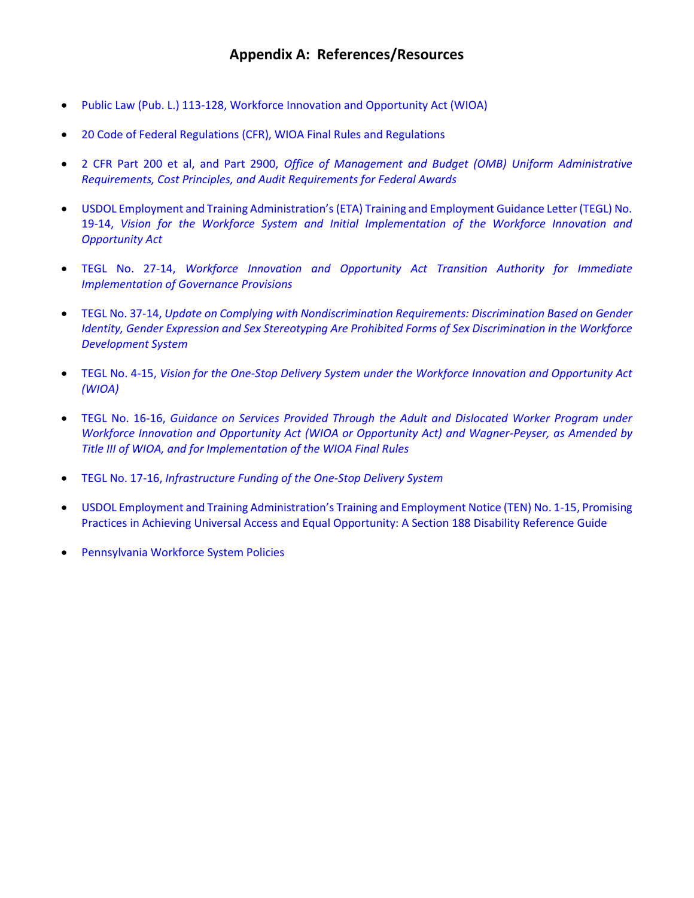- <span id="page-3-0"></span>[Public Law \(Pub. L.\) 113-128, Workforce Innovation and Opportunity Act \(WIOA\)](https://www.gpo.gov/fdsys/pkg/PLAW-113publ128/pdf/PLAW-113publ128.pdf)
- [20 Code of Federal Regulations \(CFR\), WIOA Final Rules and Regulations](https://www.gpo.gov/fdsys/pkg/FR-2016-08-19/pdf/2016-15975.pdf)
- 2 CFR Part 200 et al, and Part 2900, *[Office of Management and Budget \(OMB\) Uniform Administrative](http://www.ecfr.gov/cgi-bin/text-idx?node=2:1.1.2.2.1&rgn=div5)  [Requirements, Cost Principles, and Audit Requirements for Federal Awards](http://www.ecfr.gov/cgi-bin/text-idx?node=2:1.1.2.2.1&rgn=div5)*
- [USDOL Employment and Training Administration's \(ETA\) Training and Employment Guidance Letter \(TEGL\) No.](https://wdr.doleta.gov/directives/attach/TEGL/TEGL_19-14.pdf)  19-14, *[Vision for the Workforce System and Initial Implementation of the Workforce Innovation and](https://wdr.doleta.gov/directives/attach/TEGL/TEGL_19-14.pdf)  [Opportunity Act](https://wdr.doleta.gov/directives/attach/TEGL/TEGL_19-14.pdf)*
- TEGL No. 27-14, *[Workforce Innovation and Opportunity Act Transition Authority for Immediate](https://wdr.doleta.gov/directives/attach/TEGL/TEGL_27-14.pdf)  [Implementation of Governance Provisions](https://wdr.doleta.gov/directives/attach/TEGL/TEGL_27-14.pdf)*
- TEGL No. 37-14, *[Update on Complying with Nondiscrimination Requirements: Discrimination Based on Gender](http://wdr.doleta.gov/directives/attach/TEGL/TEGL_37-14_Acc.pdf)  Identity, Gender Expression [and Sex Stereotyping Are Prohibited Forms of Sex Discrimination in the Workforce](http://wdr.doleta.gov/directives/attach/TEGL/TEGL_37-14_Acc.pdf)  [Development System](http://wdr.doleta.gov/directives/attach/TEGL/TEGL_37-14_Acc.pdf)*
- TEGL No. 4-15, *[Vision for the One-Stop Delivery System under the Workforce Innovation and Opportunity Act](https://wdr.doleta.gov/directives/attach/TEGL/TEGL_04-15.pdf)  [\(WIOA\)](https://wdr.doleta.gov/directives/attach/TEGL/TEGL_04-15.pdf)*
- TEGL No. 16-16, *[Guidance on Services Provided Through the Adult and Dislocated Worker Program under](https://wdr.doleta.gov/directives/attach/TEGL/TEGL_03-15.pdf)  [Workforce Innovation and Opportunity Act \(WIOA or Opportunity Act\) and Wagner-Peyser, as Amended by](https://wdr.doleta.gov/directives/attach/TEGL/TEGL_03-15.pdf)  [Title III of WIOA, and for Implementation of the WIOA Final Rules](https://wdr.doleta.gov/directives/attach/TEGL/TEGL_03-15.pdf)*
- TEGL No. 17-16, *[Infrastructure Funding of the One-Stop Delivery System](https://wdr.doleta.gov/directives/attach/TEGL/TEGL_17-16.pdf)*
- USDOL Employment and Training Administration's [Training and Employment Notice \(TEN\) No. 1-15, Promising](https://www.dol.gov/oasam/programs/crc/TEN%201-15.pdf)  [Practices in Achieving Universal Access and Equal Opportunity: A Section 188 Disability Reference Guide](https://www.dol.gov/oasam/programs/crc/TEN%201-15.pdf)
- [Pennsylvania Workforce System Policies](http://www.dli.pa.gov/Businesses/Workforce-Development/Pages/Pennsylvania)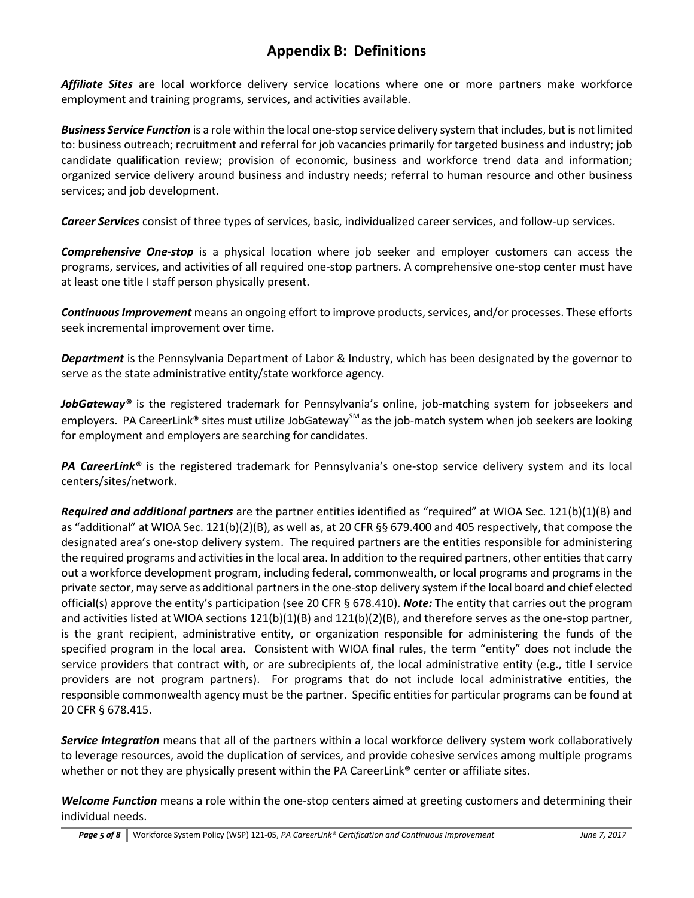## **Appendix B: Definitions**

*Affiliate Sites* are local workforce delivery service locations where one or more partners make workforce employment and training programs, services, and activities available.

*Business Service Function* is a role within the local one-stop service delivery system that includes, but is not limited to: business outreach; recruitment and referral for job vacancies primarily for targeted business and industry; job candidate qualification review; provision of economic, business and workforce trend data and information; organized service delivery around business and industry needs; referral to human resource and other business services; and job development.

*Career Services* consist of three types of services, basic, individualized career services, and follow-up services.

*Comprehensive One-stop* is a physical location where job seeker and employer customers can access the programs, services, and activities of all required one-stop partners. A comprehensive one-stop center must have at least one title I staff person physically present.

*Continuous Improvement* means an ongoing effort to improve products, services, and/or processes. These efforts seek incremental improvement over time.

*Department* is the Pennsylvania Department of Labor & Industry, which has been designated by the governor to serve as the state administrative entity/state workforce agency.

*JobGateway®* is the registered trademark for Pennsylvania's online, job-matching system for jobseekers and employers. PA CareerLink® sites must utilize JobGateway<sup>sM</sup> as the job-match system when job seekers are looking for employment and employers are searching for candidates.

*PA CareerLink®* is the registered trademark for Pennsylvania's one-stop service delivery system and its local centers/sites/network.

*Required and additional partners* are the partner entities identified as "required" at WIOA Sec. 121(b)(1)(B) and as "additional" at WIOA Sec. 121(b)(2)(B), as well as, at 20 CFR §§ 679.400 and 405 respectively, that compose the designated area's one-stop delivery system. The required partners are the entities responsible for administering the required programs and activities in the local area. In addition to the required partners, other entities that carry out a workforce development program, including federal, commonwealth, or local programs and programs in the private sector, may serve as additional partners in the one-stop delivery system if the local board and chief elected official(s) approve the entity's participation (see 20 CFR § 678.410). *Note:* The entity that carries out the program and activities listed at WIOA sections 121(b)(1)(B) and 121(b)(2)(B), and therefore serves as the one-stop partner, is the grant recipient, administrative entity, or organization responsible for administering the funds of the specified program in the local area. Consistent with WIOA final rules, the term "entity" does not include the service providers that contract with, or are subrecipients of, the local administrative entity (e.g., title I service providers are not program partners). For programs that do not include local administrative entities, the responsible commonwealth agency must be the partner. Specific entities for particular programs can be found at 20 CFR § 678.415.

*Service Integration* means that all of the partners within a local workforce delivery system work collaboratively to leverage resources, avoid the duplication of services, and provide cohesive services among multiple programs whether or not they are physically present within the PA CareerLink® center or affiliate sites.

*Welcome Function* means a role within the one-stop centers aimed at greeting customers and determining their individual needs.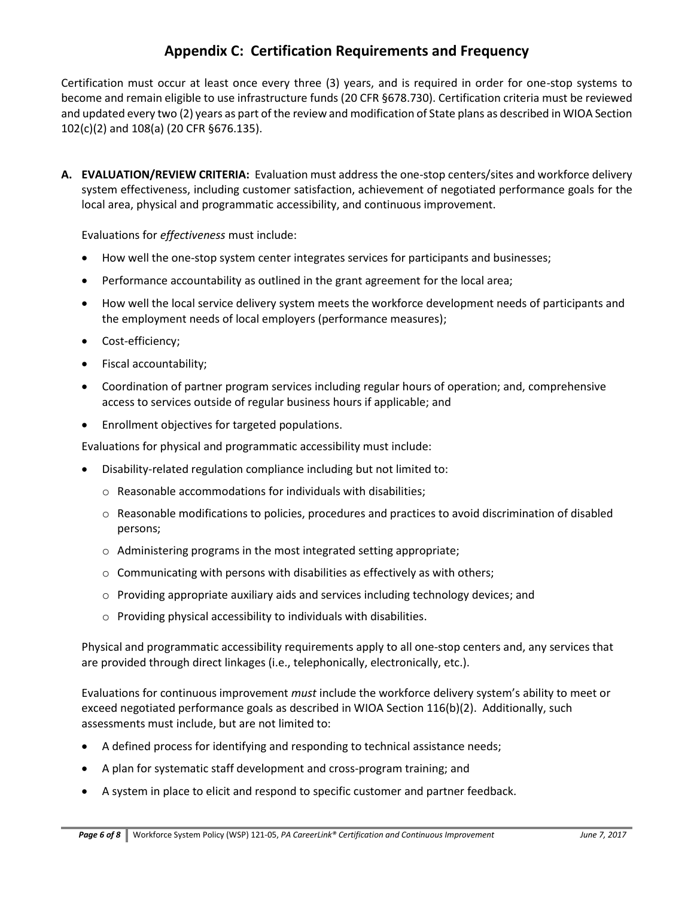### **Appendix C: Certification Requirements and Frequency**

Certification must occur at least once every three (3) years, and is required in order for one-stop systems to become and remain eligible to use infrastructure funds (20 CFR §678.730). Certification criteria must be reviewed and updated every two (2) years as part of the review and modification of State plans as described in WIOA Section 102(c)(2) and 108(a) (20 CFR §676.135).

**A. EVALUATION/REVIEW CRITERIA:** Evaluation must address the one-stop centers/sites and workforce delivery system effectiveness, including customer satisfaction, achievement of negotiated performance goals for the local area, physical and programmatic accessibility, and continuous improvement.

Evaluations for *effectiveness* must include:

- How well the one-stop system center integrates services for participants and businesses;
- Performance accountability as outlined in the grant agreement for the local area;
- How well the local service delivery system meets the workforce development needs of participants and the employment needs of local employers (performance measures);
- Cost-efficiency;
- Fiscal accountability;
- Coordination of partner program services including regular hours of operation; and, comprehensive access to services outside of regular business hours if applicable; and
- Enrollment objectives for targeted populations.

Evaluations for physical and programmatic accessibility must include:

- Disability-related regulation compliance including but not limited to:
	- o Reasonable accommodations for individuals with disabilities;
	- $\circ$  Reasonable modifications to policies, procedures and practices to avoid discrimination of disabled persons;
	- o Administering programs in the most integrated setting appropriate;
	- o Communicating with persons with disabilities as effectively as with others;
	- $\circ$  Providing appropriate auxiliary aids and services including technology devices; and
	- o Providing physical accessibility to individuals with disabilities.

Physical and programmatic accessibility requirements apply to all one-stop centers and, any services that are provided through direct linkages (i.e., telephonically, electronically, etc.).

Evaluations for continuous improvement *must* include the workforce delivery system's ability to meet or exceed negotiated performance goals as described in WIOA Section 116(b)(2). Additionally, such assessments must include, but are not limited to:

- A defined process for identifying and responding to technical assistance needs;
- A plan for systematic staff development and cross-program training; and
- A system in place to elicit and respond to specific customer and partner feedback.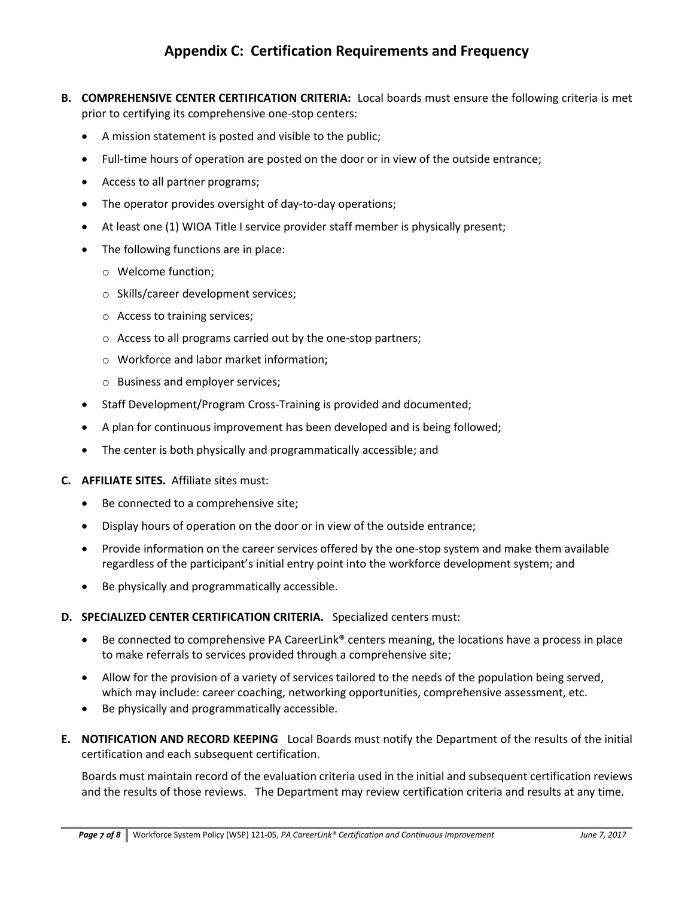# **Appendix C: Certification Requirements and Frequency**

- **B. COMPREHENSIVE CENTER CERTIFICATION CRITERIA:** Local boards must ensure the following criteria is met prior to certifying its comprehensive one-stop centers:
	- A mission statement is posted and visible to the public;
	- Full-time hours of operation are posted on the door or in view of the outside entrance;
	- Access to all partner programs;
	- The operator provides oversight of day-to-day operations;
	- At least one (1) WIOA Title I service provider staff member is physically present;
	- The following functions are in place:
		- o Welcome function;
		- o Skills/career development services;
		- o Access to training services;
		- o Access to all programs carried out by the one-stop partners;
		- o Workforce and labor market information;
		- o Business and employer services;
	- Staff Development/Program Cross-Training is provided and documented;
	- A plan for continuous improvement has been developed and is being followed;
	- The center is both physically and programmatically accessible; and
- **C. AFFILIATE SITES.** Affiliate sites must:
	- Be connected to a comprehensive site;
	- Display hours of operation on the door or in view of the outside entrance;
	- Provide information on the career services offered by the one-stop system and make them available regardless of the participant's initial entry point into the workforce development system; and
	- Be physically and programmatically accessible.
- **D. SPECIALIZED CENTER CERTIFICATION CRITERIA.** Specialized centers must:
	- Be connected to comprehensive PA CareerLink<sup>®</sup> centers meaning, the locations have a process in place to make referrals to services provided through a comprehensive site;
	- Allow for the provision of a variety of services tailored to the needs of the population being served, which may include: career coaching, networking opportunities, comprehensive assessment, etc.
	- Be physically and programmatically accessible.
- **E. NOTIFICATION AND RECORD KEEPING** Local Boards must notify the Department of the results of the initial certification and each subsequent certification.

Boards must maintain record of the evaluation criteria used in the initial and subsequent certification reviews and the results of those reviews.The Department may review certification criteria and results at any time.